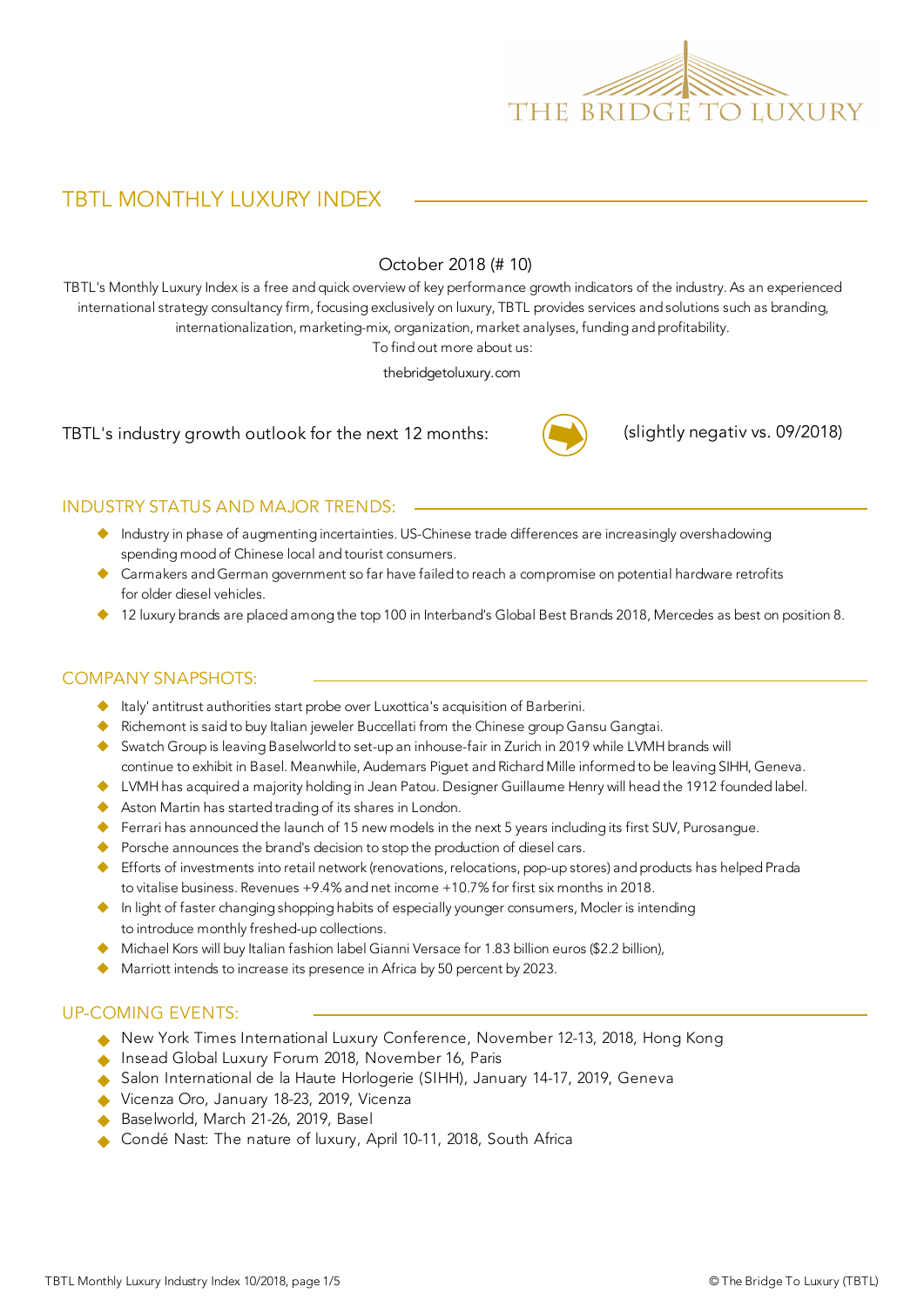

# TBTL MONTHLY LUXURY INDEX

#### October 2018 (# 10)

TBTL's Monthly Luxury Index is a free and quick overview of key performance growth indicators of the industry. As an experienced international strategy consultancy firm, focusing exclusively on luxury, TBTL provides services and solutions such as branding, internationalization, marketing-mix, organization, market analyses, funding and profitability.

To find out more about us:

thebridgetoluxury.com

TBTL's industry growth outlook for the next 12 months:



(slightly negativ vs. 09/2018)

#### INDUSTRY STATUS AND MAJOR TRENDS:

- u Industry in phase of augmenting incertainties. US-Chinese trade differences are increasingly overshadowing spending mood of Chinese local and tourist consumers.
- $\blacklozenge$  Carmakers and German government so far have failed to reach a compromise on potential hardware retrofits for older diesel vehicles.
- $\blacklozenge$  12 luxury brands are placed among the top 100 in Interband's Global Best Brands 2018, Mercedes as best on position 8.

#### COMPANY SNAPSHOTS:

- $\blacklozenge$  Italy' antitrust authorities start probe over Luxottica's acquisition of Barberini.
- ◆ Richemont is said to buy Italian jeweler Buccellati from the Chinese group Gansu Gangtai.
- ◆ Swatch Group is leaving Baselworld to set-up an inhouse-fair in Zurich in 2019 while LVMH brands will continue to exhibit in Basel. Meanwhile, Audemars Piguet and Richard Mille informed to be leaving SIHH, Geneva.
- u LVMH has acquired a majority holding in Jean Patou. Designer Guillaume Henry will head the 1912 founded label.
- $\blacklozenge$  Aston Martin has started trading of its shares in London.
- Ferrari has announced the launch of 15 new models in the next 5 years including its first SUV, Purosangue.
- $\blacklozenge$  Porsche announces the brand's decision to stop the production of diesel cars.
- ◆ Efforts of investments into retail network (renovations, relocations, pop-up stores) and products has helped Prada to vitalise business. Revenues +9.4% and net income +10.7% for first six months in 2018.
- u In light of faster changing shopping habits of especially younger consumers, Mocler is intending to introduce monthly freshed-up collections.
- $\blacklozenge$  Michael Kors will buy Italian fashion label Gianni Versace for 1.83 billion euros (\$2.2 billion),
- $\blacklozenge$  Marriott intends to increase its presence in Africa by 50 percent by 2023.

#### UP-COMING EVENTS:

- u New York Times International Luxury Conference, November 12-13, 2018, Hong Kong
- ◆ Insead Global Luxury Forum 2018, November 16, Paris
- ◆ Salon International de la Haute Horlogerie (SIHH), January 14-17, 2019, Geneva
- Vicenza Oro, January 18-23, 2019, Vicenza
- Baselworld, March 21-26, 2019, Basel
- ◆ Condé Nast: The nature of luxury, April 10-11, 2018, South Africa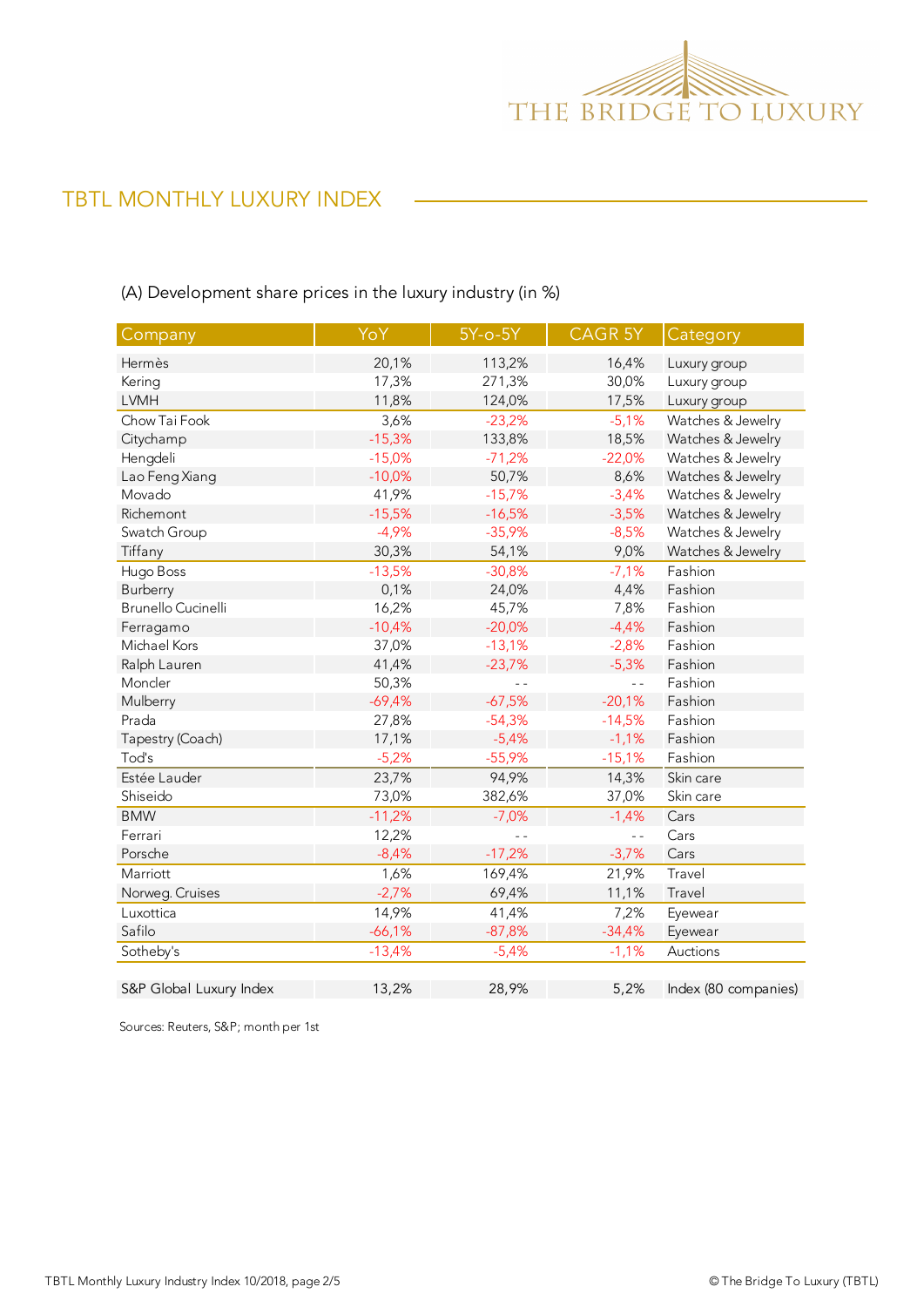

# TBTL MONTHLY LUXURY INDEX

## (A) Development share prices in the luxury industry (in %)

| Company                 | YoY      | $5Y-0-5Y$ | <b>CAGR 5Y</b> | Category             |
|-------------------------|----------|-----------|----------------|----------------------|
| Hermès                  | 20,1%    | 113,2%    | 16,4%          | Luxury group         |
| Kering                  | 17,3%    | 271,3%    | 30,0%          | Luxury group         |
| <b>LVMH</b>             | 11,8%    | 124,0%    | 17,5%          | Luxury group         |
| Chow Tai Fook           | 3,6%     | $-23,2%$  | $-5,1%$        | Watches & Jewelry    |
| Citychamp               | $-15,3%$ | 133,8%    | 18,5%          | Watches & Jewelry    |
| Hengdeli                | $-15,0%$ | $-71,2%$  | $-22,0%$       | Watches & Jewelry    |
| Lao Feng Xiang          | $-10,0%$ | 50,7%     | 8,6%           | Watches & Jewelry    |
| Movado                  | 41,9%    | $-15,7%$  | $-3,4%$        | Watches & Jewelry    |
| Richemont               | $-15,5%$ | $-16,5%$  | $-3,5%$        | Watches & Jewelry    |
| Swatch Group            | $-4,9%$  | $-35,9%$  | $-8,5%$        | Watches & Jewelry    |
| Tiffany                 | 30,3%    | 54,1%     | 9,0%           | Watches & Jewelry    |
| Hugo Boss               | $-13,5%$ | $-30,8%$  | $-7,1%$        | Fashion              |
| Burberry                | 0,1%     | 24,0%     | 4,4%           | Fashion              |
| Brunello Cucinelli      | 16,2%    | 45,7%     | 7,8%           | Fashion              |
| Ferragamo               | $-10,4%$ | $-20,0%$  | $-4,4%$        | Fashion              |
| Michael Kors            | 37,0%    | $-13,1%$  | $-2,8%$        | Fashion              |
| Ralph Lauren            | 41,4%    | $-23,7%$  | $-5,3%$        | Fashion              |
| Moncler                 | 50,3%    | $ -$      | $\overline{a}$ | Fashion              |
| Mulberry                | $-69,4%$ | $-67,5%$  | $-20,1%$       | Fashion              |
| Prada                   | 27,8%    | $-54,3%$  | $-14,5%$       | Fashion              |
| Tapestry (Coach)        | 17,1%    | $-5,4%$   | $-1,1%$        | Fashion              |
| Tod's                   | $-5,2%$  | $-55,9%$  | $-15,1%$       | Fashion              |
| Estée Lauder            | 23,7%    | 94,9%     | 14,3%          | Skin care            |
| Shiseido                | 73,0%    | 382,6%    | 37,0%          | Skin care            |
| <b>BMW</b>              | $-11,2%$ | $-7,0%$   | $-1,4%$        | Cars                 |
| Ferrari                 | 12,2%    |           | $\overline{a}$ | Cars                 |
| Porsche                 | $-8,4%$  | $-17,2%$  | $-3,7%$        | Cars                 |
| Marriott                | 1,6%     | 169,4%    | 21,9%          | Travel               |
| Norweg. Cruises         | $-2,7%$  | 69,4%     | 11,1%          | Travel               |
| Luxottica               | 14,9%    | 41,4%     | 7,2%           | Eyewear              |
| Safilo                  | $-66,1%$ | $-87,8%$  | $-34,4%$       | Eyewear              |
| Sotheby's               | $-13,4%$ | $-5,4%$   | $-1,1%$        | Auctions             |
| S&P Global Luxury Index | 13,2%    | 28,9%     | 5,2%           | Index (80 companies) |

Sources: Reuters, S&P; month per 1st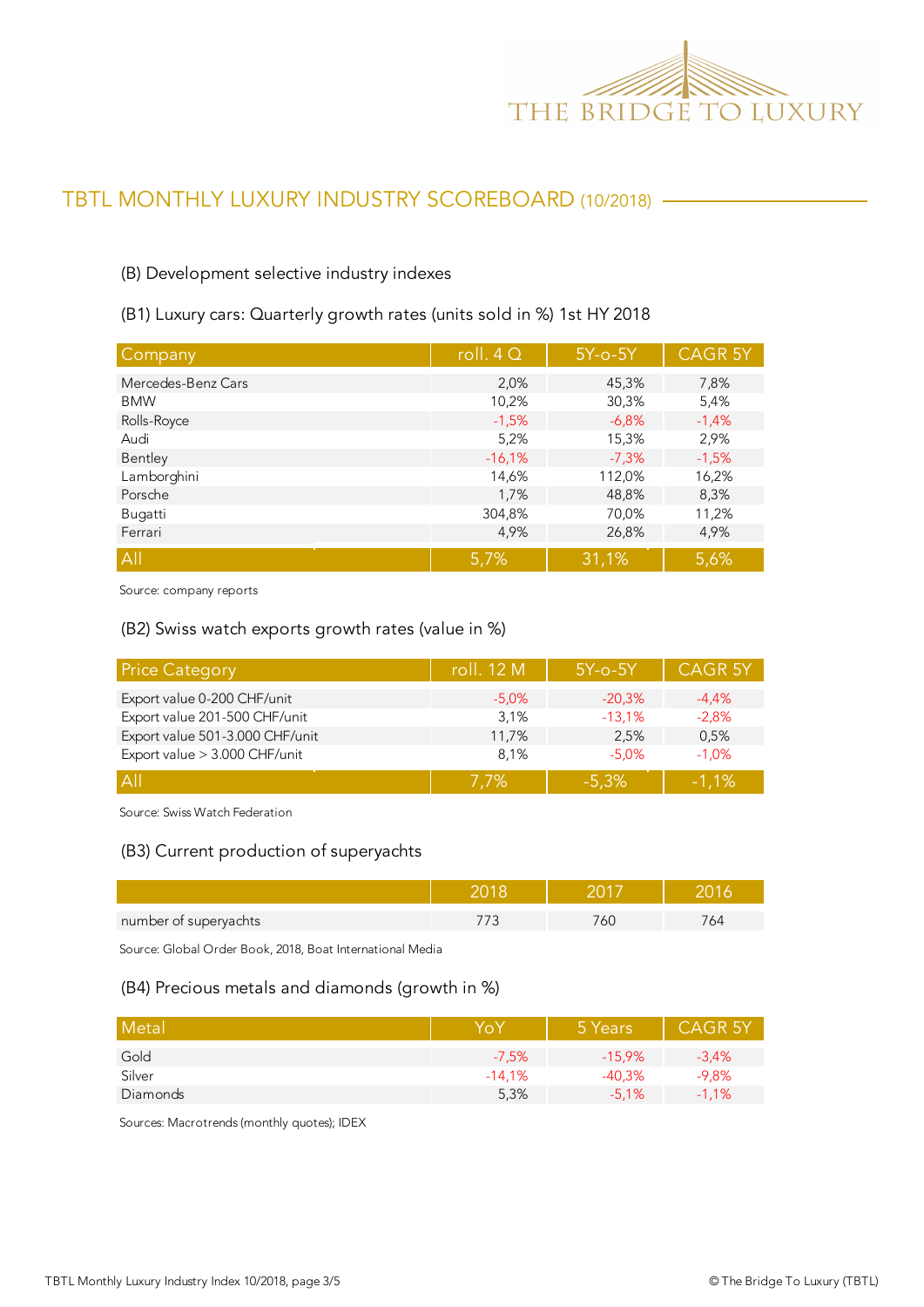

# TBTL MONTHLY LUXURY INDUSTRY SCOREBOARD (10/2018)

#### (B) Development selective industry indexes

(B1) Luxury cars: Quarterly growth rates (units sold in %) 1st HY 2018

| Company            | roll. $4Q$ | $5Y$ -o- $5Y$ | <b>CAGR 5Y</b> |
|--------------------|------------|---------------|----------------|
| Mercedes-Benz Cars | 2,0%       | 45,3%         | 7,8%           |
| <b>BMW</b>         | 10,2%      | 30,3%         | 5,4%           |
| Rolls-Royce        | $-1,5%$    | $-6.8%$       | $-1,4%$        |
| Audi               | 5,2%       | 15,3%         | 2,9%           |
| Bentley            | $-16,1%$   | $-7,3%$       | $-1,5%$        |
| Lamborghini        | 14,6%      | 112,0%        | 16,2%          |
| Porsche            | 1,7%       | 48,8%         | 8,3%           |
| Bugatti            | 304,8%     | 70,0%         | 11,2%          |
| Ferrari            | 4,9%       | 26,8%         | 4,9%           |
| All                | 5,7%       | 31,1%         | 5,6%           |

Source: company reports

#### (B2) Swiss watch exports growth rates (value in %)

| <b>Price Category</b>           | roll. 12 M | $5Y$ -o- $5Y$ | <b>CAGR 5Y</b> |
|---------------------------------|------------|---------------|----------------|
| Export value 0-200 CHF/unit     | $-5.0\%$   | $-20,3%$      | $-4.4\%$       |
| Export value 201-500 CHF/unit   | 3,1%       | $-13,1%$      | $-2,8%$        |
| Export value 501-3.000 CHF/unit | 11,7%      | 2.5%          | 0,5%           |
| Export value > 3.000 CHF/unit   | 8.1%       | $-5.0%$       | $-1.0%$        |
| A                               | $7.7\%$    | $-5.3%$       | $-1.1%$        |

Source: Swiss Watch Federation

#### (B3) Current production of superyachts

| number of superyachts | ור |  |
|-----------------------|----|--|

Source: Global Order Book, 2018, Boat International Media

#### (B4) Precious metals and diamonds (growth in %)

| Metal    | YoY      | 5 Years   | <b>CAGR 5Y</b> |
|----------|----------|-----------|----------------|
| Gold     | $-7,5%$  | $-15.9\%$ | $-3,4%$        |
| Silver   | $-14.1%$ | $-40.3%$  | $-9,8%$        |
| Diamonds | 5,3%     | $-5.1%$   | $-1,1%$        |

Sources: Macrotrends (monthly quotes); IDEX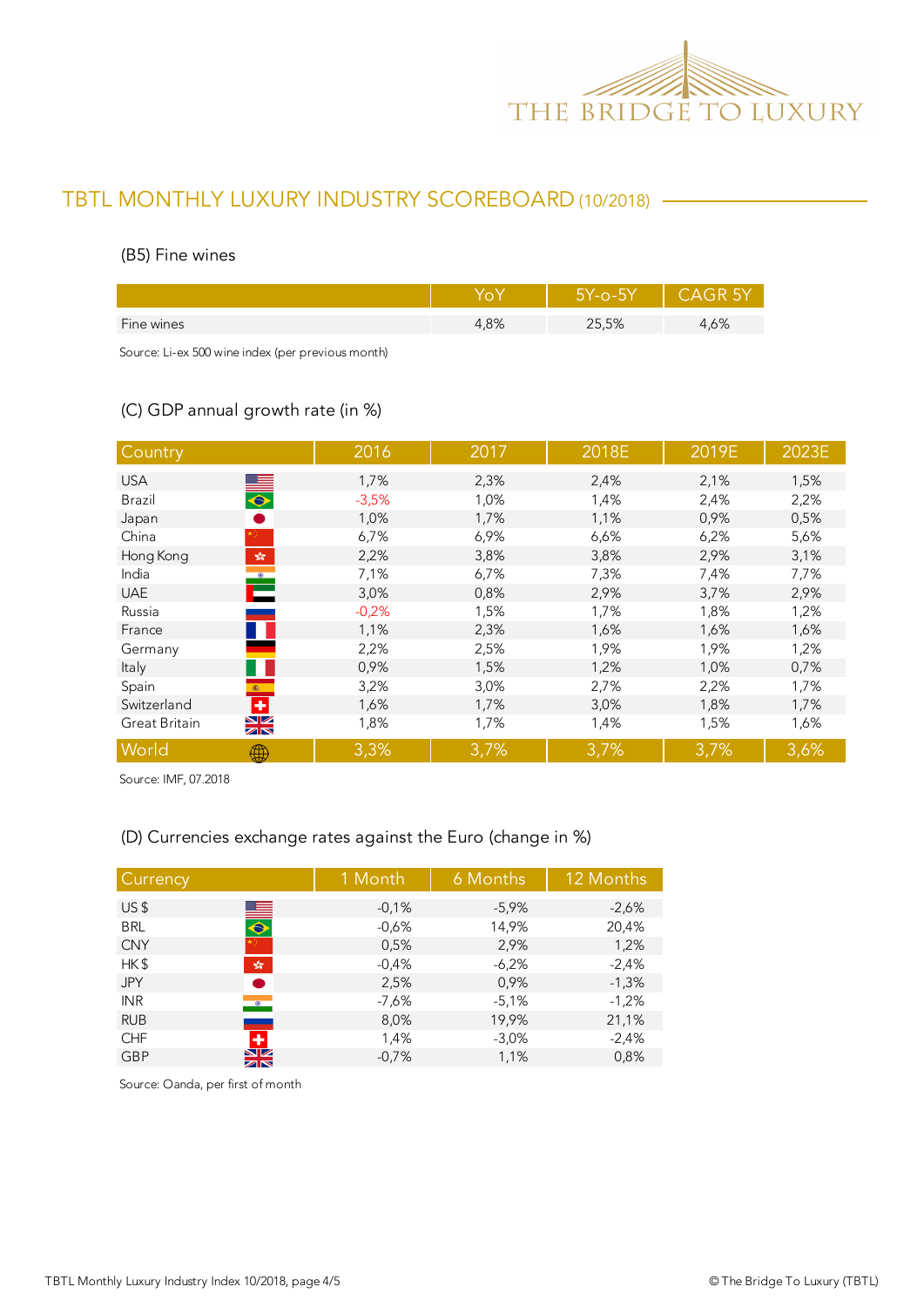

# TBTL MONTHLY LUXURY INDUSTRY SCOREBOARD (10/2018)

#### (B5) Fine wines

|            |        | ϭϒ-Ο-5Υ<br>ץ ר |      |
|------------|--------|----------------|------|
| Fine wines | $.8\%$ | 25,5%          | .,6% |
|            |        |                |      |

Source: Li-ex 500 wine index (per previous month)

## (C) GDP annual growth rate (in %)

| Country                                                               | 2016    | 2017 | 2018E | 2019E | 2023E |
|-----------------------------------------------------------------------|---------|------|-------|-------|-------|
| <b>USA</b>                                                            | 1,7%    | 2,3% | 2,4%  | 2,1%  | 1,5%  |
| $\bullet$<br>Brazil                                                   | $-3,5%$ | 1,0% | 1,4%  | 2,4%  | 2,2%  |
| Japan                                                                 | 1,0%    | 1,7% | 1,1%  | 0,9%  | 0,5%  |
| China                                                                 | 6,7%    | 6,9% | 6,6%  | 6,2%  | 5,6%  |
| Hong Kong<br>$\mathcal{L}_\mathcal{R}^\text{P}$                       | 2,2%    | 3,8% | 3,8%  | 2,9%  | 3,1%  |
| $\begin{array}{c} \bullet \\ \bullet \\ \bullet \end{array}$<br>India | 7,1%    | 6,7% | 7,3%  | 7,4%  | 7,7%  |
| <b>UAE</b>                                                            | 3,0%    | 0,8% | 2,9%  | 3,7%  | 2,9%  |
| Russia                                                                | $-0,2%$ | 1,5% | 1,7%  | 1,8%  | 1,2%  |
| France                                                                | 1,1%    | 2,3% | 1,6%  | 1,6%  | 1,6%  |
| Germany                                                               | 2,2%    | 2,5% | 1,9%  | 1,9%  | 1,2%  |
| Italy                                                                 | 0,9%    | 1,5% | 1,2%  | 1,0%  | 0,7%  |
| Spain<br>(数)                                                          | 3,2%    | 3,0% | 2,7%  | 2,2%  | 1,7%  |
| ٠<br>Switzerland                                                      | 1,6%    | 1,7% | 3,0%  | 1,8%  | 1,7%  |
| XK<br>Great Britain                                                   | 1,8%    | 1,7% | 1,4%  | 1,5%  | 1,6%  |
| World<br>∰                                                            | 3,3%    | 3,7% | 3,7%  | 3,7%  | 3,6%  |

Source: IMF, 07.2018

## (D) Currencies exchange rates against the Euro (change in %)

| Currency   |                              | 1 Month | 6 Months | 12 Months |
|------------|------------------------------|---------|----------|-----------|
| US\$       |                              | $-0,1%$ | $-5,9%$  | $-2,6%$   |
| <b>BRL</b> | $\blacksquare$               | $-0,6%$ | 14,9%    | 20,4%     |
| <b>CNY</b> |                              | 0,5%    | 2,9%     | 1,2%      |
| HK\$       | $\frac{\sqrt{3}}{2\sqrt{3}}$ | $-0,4%$ | $-6,2%$  | $-2,4%$   |
| <b>JPY</b> | ●                            | 2,5%    | 0,9%     | $-1,3%$   |
| <b>INR</b> | $\bullet$                    | $-7,6%$ | $-5,1%$  | $-1,2%$   |
| <b>RUB</b> |                              | 8,0%    | 19,9%    | 21,1%     |
| <b>CHF</b> | ٠                            | 1,4%    | $-3,0%$  | $-2,4%$   |
| <b>GBP</b> | $\frac{N}{N}$                | $-0,7%$ | 1,1%     | 0,8%      |

Source: Oanda, per first of month